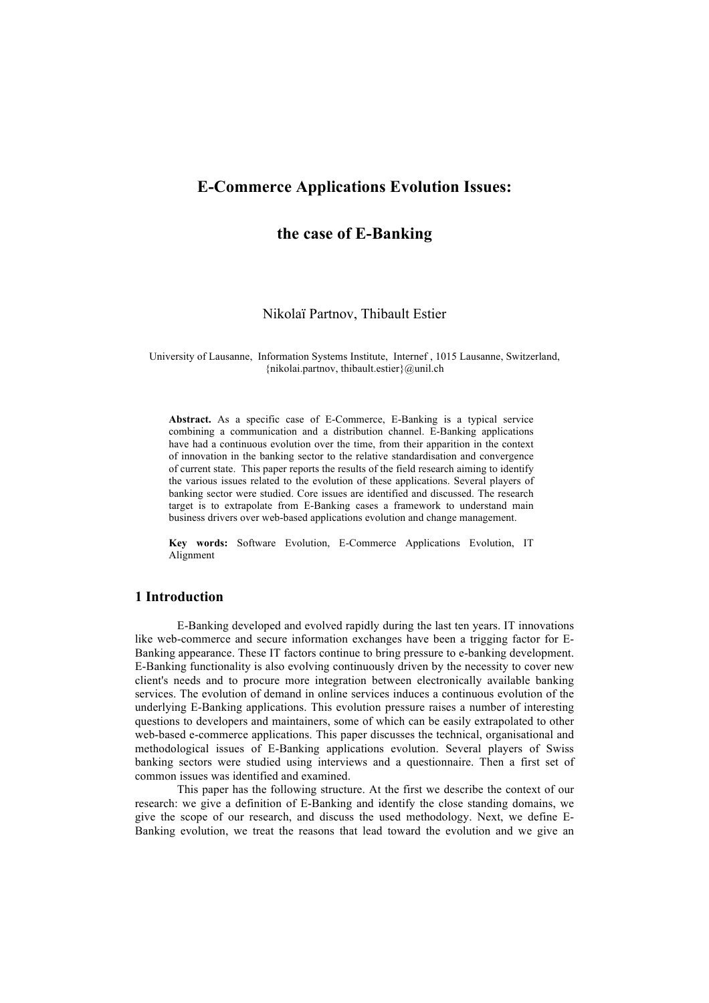# **the case of E-Banking**

Nikolaï Partnov, Thibault Estier

University of Lausanne, Information Systems Institute, Internef , 1015 Lausanne, Switzerland, {nikolai.partnov, thibault.estier}@unil.ch

**Abstract.** As a specific case of E-Commerce, E-Banking is a typical service combining a communication and a distribution channel. E-Banking applications have had a continuous evolution over the time, from their apparition in the context of innovation in the banking sector to the relative standardisation and convergence of current state. This paper reports the results of the field research aiming to identify the various issues related to the evolution of these applications. Several players of banking sector were studied. Core issues are identified and discussed. The research target is to extrapolate from E-Banking cases a framework to understand main business drivers over web-based applications evolution and change management.

**Key words:** Software Evolution, E-Commerce Applications Evolution, IT Alignment

# **1 Introduction**

E-Banking developed and evolved rapidly during the last ten years. IT innovations like web-commerce and secure information exchanges have been a trigging factor for E-Banking appearance. These IT factors continue to bring pressure to e-banking development. E-Banking functionality is also evolving continuously driven by the necessity to cover new client's needs and to procure more integration between electronically available banking services. The evolution of demand in online services induces a continuous evolution of the underlying E-Banking applications. This evolution pressure raises a number of interesting questions to developers and maintainers, some of which can be easily extrapolated to other web-based e-commerce applications. This paper discusses the technical, organisational and methodological issues of E-Banking applications evolution. Several players of Swiss banking sectors were studied using interviews and a questionnaire. Then a first set of common issues was identified and examined.

This paper has the following structure. At the first we describe the context of our research: we give a definition of E-Banking and identify the close standing domains, we give the scope of our research, and discuss the used methodology. Next, we define E-Banking evolution, we treat the reasons that lead toward the evolution and we give an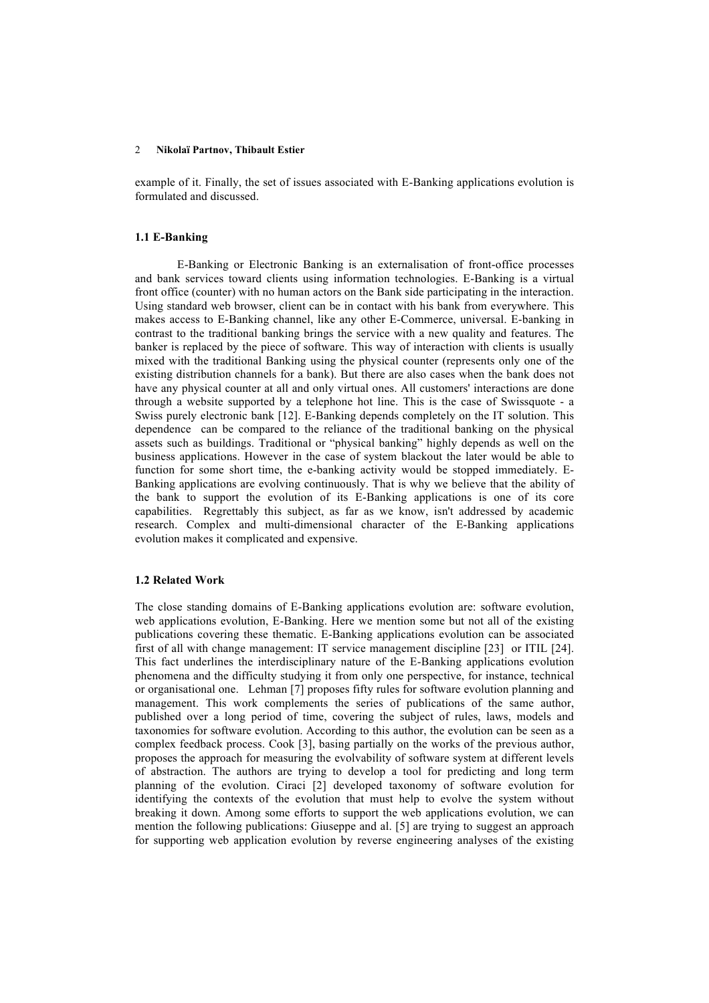example of it. Finally, the set of issues associated with E-Banking applications evolution is formulated and discussed.

#### **1.1 E-Banking**

E-Banking or Electronic Banking is an externalisation of front-office processes and bank services toward clients using information technologies. E-Banking is a virtual front office (counter) with no human actors on the Bank side participating in the interaction. Using standard web browser, client can be in contact with his bank from everywhere. This makes access to E-Banking channel, like any other E-Commerce, universal. E-banking in contrast to the traditional banking brings the service with a new quality and features. The banker is replaced by the piece of software. This way of interaction with clients is usually mixed with the traditional Banking using the physical counter (represents only one of the existing distribution channels for a bank). But there are also cases when the bank does not have any physical counter at all and only virtual ones. All customers' interactions are done through a website supported by a telephone hot line. This is the case of Swissquote - a Swiss purely electronic bank [12]. E-Banking depends completely on the IT solution. This dependence can be compared to the reliance of the traditional banking on the physical assets such as buildings. Traditional or "physical banking" highly depends as well on the business applications. However in the case of system blackout the later would be able to function for some short time, the e-banking activity would be stopped immediately. E-Banking applications are evolving continuously. That is why we believe that the ability of the bank to support the evolution of its E-Banking applications is one of its core capabilities. Regrettably this subject, as far as we know, isn't addressed by academic research. Complex and multi-dimensional character of the E-Banking applications evolution makes it complicated and expensive.

## **1.2 Related Work**

The close standing domains of E-Banking applications evolution are: software evolution, web applications evolution, E-Banking. Here we mention some but not all of the existing publications covering these thematic. E-Banking applications evolution can be associated first of all with change management: IT service management discipline [23] or ITIL [24]. This fact underlines the interdisciplinary nature of the E-Banking applications evolution phenomena and the difficulty studying it from only one perspective, for instance, technical or organisational one.Lehman [7] proposes fifty rules for software evolution planning and management. This work complements the series of publications of the same author, published over a long period of time, covering the subject of rules, laws, models and taxonomies for software evolution. According to this author, the evolution can be seen as a complex feedback process. Cook [3], basing partially on the works of the previous author, proposes the approach for measuring the evolvability of software system at different levels of abstraction. The authors are trying to develop a tool for predicting and long term planning of the evolution. Ciraci [2] developed taxonomy of software evolution for identifying the contexts of the evolution that must help to evolve the system without breaking it down. Among some efforts to support the web applications evolution, we can mention the following publications: Giuseppe and al. [5] are trying to suggest an approach for supporting web application evolution by reverse engineering analyses of the existing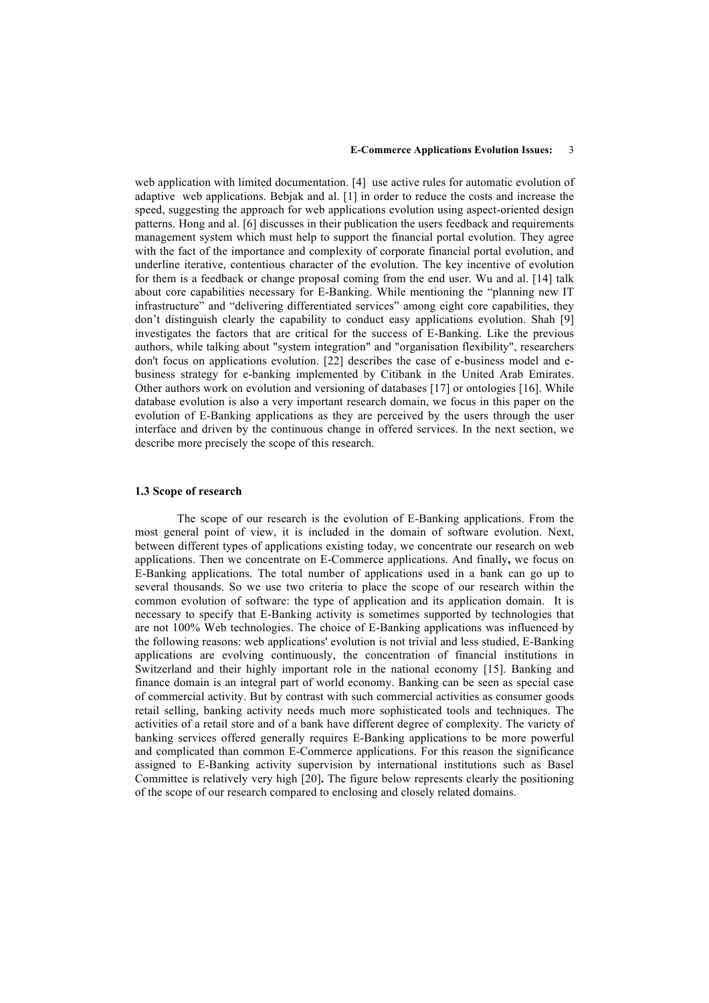web application with limited documentation. [4] use active rules for automatic evolution of adaptive web applications. Bebjak and al. [1] in order to reduce the costs and increase the speed, suggesting the approach for web applications evolution using aspect-oriented design patterns. Hong and al. [6] discusses in their publication the users feedback and requirements management system which must help to support the financial portal evolution. They agree with the fact of the importance and complexity of corporate financial portal evolution, and underline iterative, contentious character of the evolution. The key incentive of evolution for them is a feedback or change proposal coming from the end user. Wu and al. [14] talk about core capabilities necessary for E-Banking. While mentioning the "planning new IT infrastructure" and "delivering differentiated services" among eight core capabilities, they don't distinguish clearly the capability to conduct easy applications evolution. Shah [9] investigates the factors that are critical for the success of E-Banking. Like the previous authors, while talking about "system integration" and "organisation flexibility", researchers don't focus on applications evolution. [22] describes the case of e-business model and ebusiness strategy for e-banking implemented by Citibank in the United Arab Emirates. Other authors work on evolution and versioning of databases [17] or ontologies [16]. While database evolution is also a very important research domain, we focus in this paper on the evolution of E-Banking applications as they are perceived by the users through the user interface and driven by the continuous change in offered services. In the next section, we describe more precisely the scope of this research.

#### **1.3 Scope of research**

The scope of our research is the evolution of E-Banking applications. From the most general point of view, it is included in the domain of software evolution. Next, between different types of applications existing today, we concentrate our research on web applications. Then we concentrate on E-Commerce applications. And finally**,** we focus on E-Banking applications. The total number of applications used in a bank can go up to several thousands. So we use two criteria to place the scope of our research within the common evolution of software: the type of application and its application domain. It is necessary to specify that E-Banking activity is sometimes supported by technologies that are not 100% Web technologies. The choice of E-Banking applications was influenced by the following reasons: web applications' evolution is not trivial and less studied, E-Banking applications are evolving continuously, the concentration of financial institutions in Switzerland and their highly important role in the national economy [15]. Banking and finance domain is an integral part of world economy. Banking can be seen as special case of commercial activity. But by contrast with such commercial activities as consumer goods retail selling, banking activity needs much more sophisticated tools and techniques. The activities of a retail store and of a bank have different degree of complexity. The variety of banking services offered generally requires E-Banking applications to be more powerful and complicated than common E-Commerce applications. For this reason the significance assigned to E-Banking activity supervision by international institutions such as Basel Committee is relatively very high [20]**.** The figure below represents clearly the positioning of the scope of our research compared to enclosing and closely related domains.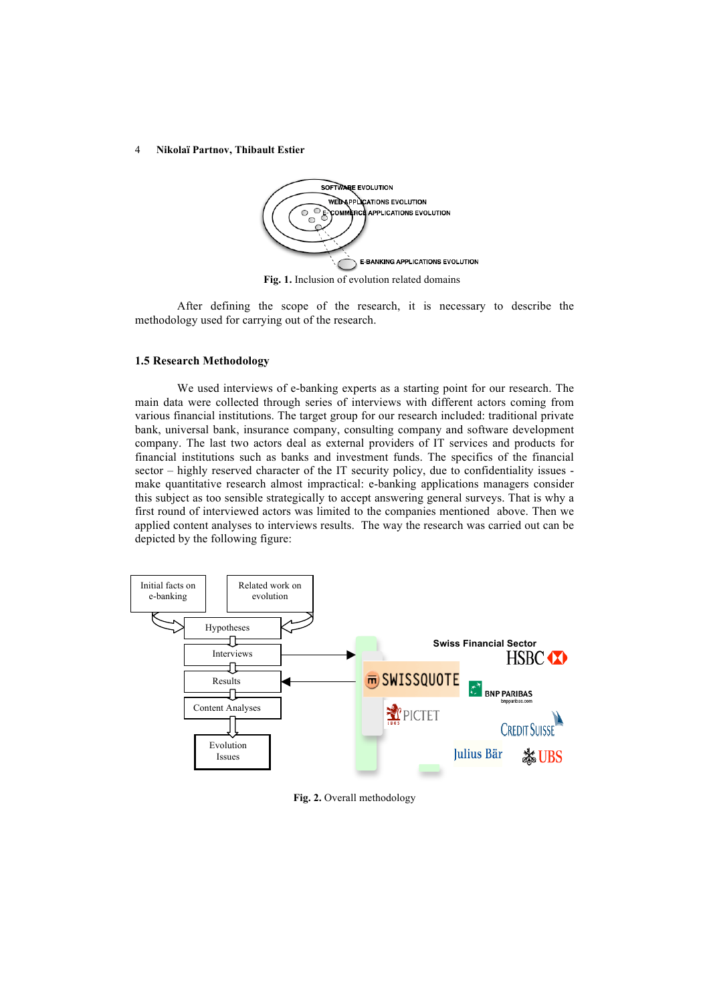

 **Fig. 1.** Inclusion of evolution related domains

After defining the scope of the research, it is necessary to describe the methodology used for carrying out of the research.

#### **1.5 Research Methodology**

We used interviews of e-banking experts as a starting point for our research. The main data were collected through series of interviews with different actors coming from various financial institutions. The target group for our research included: traditional private bank, universal bank, insurance company, consulting company and software development company. The last two actors deal as external providers of IT services and products for financial institutions such as banks and investment funds. The specifics of the financial sector – highly reserved character of the IT security policy, due to confidentiality issues make quantitative research almost impractical: e-banking applications managers consider this subject as too sensible strategically to accept answering general surveys. That is why a first round of interviewed actors was limited to the companies mentioned above. Then we applied content analyses to interviews results. The way the research was carried out can be depicted by the following figure:



**Fig. 2.** Overall methodology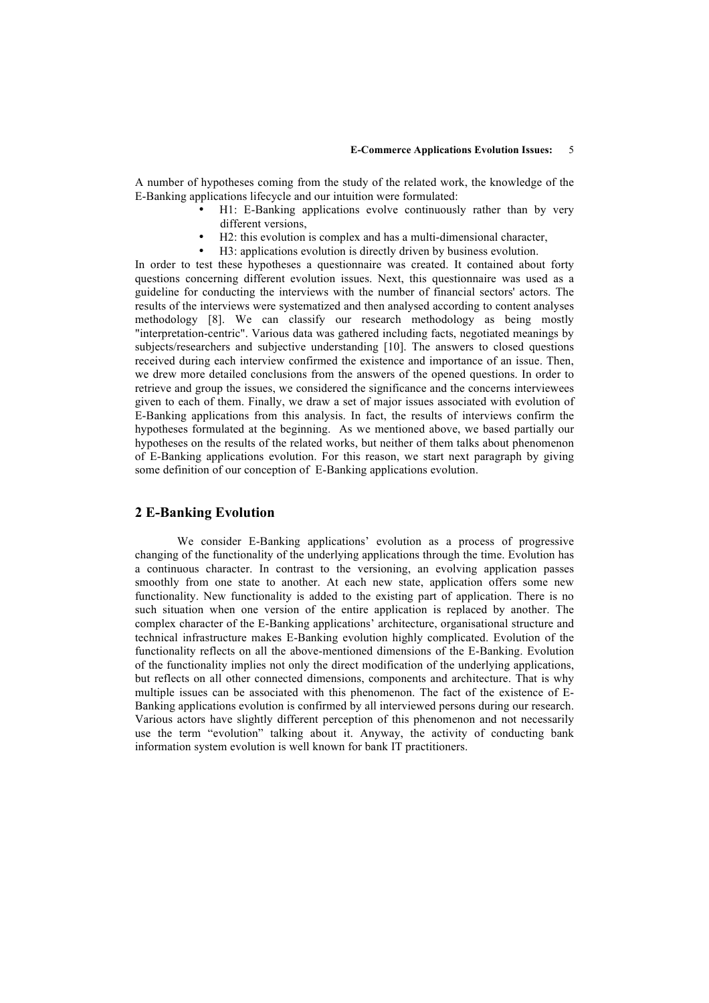A number of hypotheses coming from the study of the related work, the knowledge of the E-Banking applications lifecycle and our intuition were formulated:

- H1: E-Banking applications evolve continuously rather than by very different versions,
- H2: this evolution is complex and has a multi-dimensional character,
- H3: applications evolution is directly driven by business evolution.

In order to test these hypotheses a questionnaire was created. It contained about forty questions concerning different evolution issues. Next, this questionnaire was used as a guideline for conducting the interviews with the number of financial sectors' actors. The results of the interviews were systematized and then analysed according to content analyses methodology [8]. We can classify our research methodology as being mostly "interpretation-centric". Various data was gathered including facts, negotiated meanings by subjects/researchers and subjective understanding [10]. The answers to closed questions received during each interview confirmed the existence and importance of an issue. Then, we drew more detailed conclusions from the answers of the opened questions. In order to retrieve and group the issues, we considered the significance and the concerns interviewees given to each of them. Finally, we draw a set of major issues associated with evolution of E-Banking applications from this analysis. In fact, the results of interviews confirm the hypotheses formulated at the beginning. As we mentioned above, we based partially our hypotheses on the results of the related works, but neither of them talks about phenomenon of E-Banking applications evolution. For this reason, we start next paragraph by giving some definition of our conception of E-Banking applications evolution.

## **2 E-Banking Evolution**

We consider E-Banking applications' evolution as a process of progressive changing of the functionality of the underlying applications through the time. Evolution has a continuous character. In contrast to the versioning, an evolving application passes smoothly from one state to another. At each new state, application offers some new functionality. New functionality is added to the existing part of application. There is no such situation when one version of the entire application is replaced by another. The complex character of the E-Banking applications' architecture, organisational structure and technical infrastructure makes E-Banking evolution highly complicated. Evolution of the functionality reflects on all the above-mentioned dimensions of the E-Banking. Evolution of the functionality implies not only the direct modification of the underlying applications, but reflects on all other connected dimensions, components and architecture. That is why multiple issues can be associated with this phenomenon. The fact of the existence of E-Banking applications evolution is confirmed by all interviewed persons during our research. Various actors have slightly different perception of this phenomenon and not necessarily use the term "evolution" talking about it. Anyway, the activity of conducting bank information system evolution is well known for bank IT practitioners.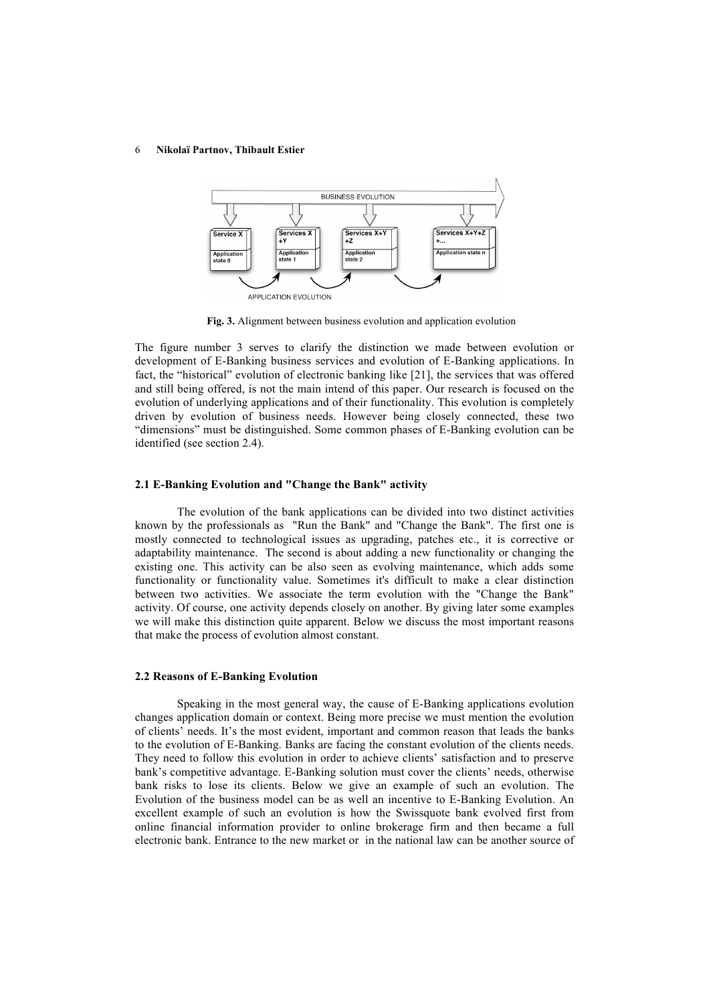

 **Fig. 3.** Alignment between business evolution and application evolution

The figure number 3 serves to clarify the distinction we made between evolution or development of E-Banking business services and evolution of E-Banking applications. In fact, the "historical" evolution of electronic banking like [21], the services that was offered and still being offered, is not the main intend of this paper. Our research is focused on the evolution of underlying applications and of their functionality. This evolution is completely driven by evolution of business needs. However being closely connected, these two "dimensions" must be distinguished. Some common phases of E-Banking evolution can be identified (see section 2.4).

#### **2.1 E-Banking Evolution and "Change the Bank" activity**

The evolution of the bank applications can be divided into two distinct activities known by the professionals as "Run the Bank" and "Change the Bank". The first one is mostly connected to technological issues as upgrading, patches etc., it is corrective or adaptability maintenance. The second is about adding a new functionality or changing the existing one. This activity can be also seen as evolving maintenance, which adds some functionality or functionality value. Sometimes it's difficult to make a clear distinction between two activities. We associate the term evolution with the "Change the Bank" activity. Of course, one activity depends closely on another. By giving later some examples we will make this distinction quite apparent. Below we discuss the most important reasons that make the process of evolution almost constant.

### **2.2 Reasons of E-Banking Evolution**

Speaking in the most general way, the cause of E-Banking applications evolution changes application domain or context. Being more precise we must mention the evolution of clients' needs. It's the most evident, important and common reason that leads the banks to the evolution of E-Banking. Banks are facing the constant evolution of the clients needs. They need to follow this evolution in order to achieve clients' satisfaction and to preserve bank's competitive advantage. E-Banking solution must cover the clients' needs, otherwise bank risks to lose its clients. Below we give an example of such an evolution. The Evolution of the business model can be as well an incentive to E-Banking Evolution. An excellent example of such an evolution is how the Swissquote bank evolved first from online financial information provider to online brokerage firm and then became a full electronic bank. Entrance to the new market or in the national law can be another source of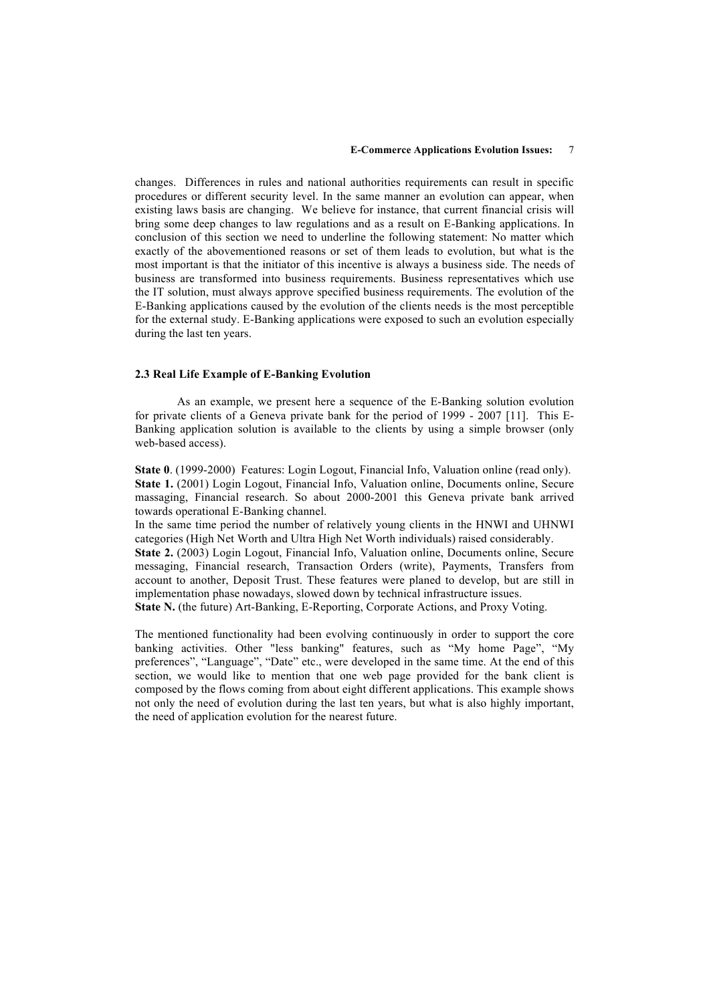changes. Differences in rules and national authorities requirements can result in specific procedures or different security level. In the same manner an evolution can appear, when existing laws basis are changing. We believe for instance, that current financial crisis will bring some deep changes to law regulations and as a result on E-Banking applications. In conclusion of this section we need to underline the following statement: No matter which exactly of the abovementioned reasons or set of them leads to evolution, but what is the most important is that the initiator of this incentive is always a business side. The needs of business are transformed into business requirements. Business representatives which use the IT solution, must always approve specified business requirements. The evolution of the E-Banking applications caused by the evolution of the clients needs is the most perceptible for the external study. E-Banking applications were exposed to such an evolution especially during the last ten years.

#### **2.3 Real Life Example of E-Banking Evolution**

As an example, we present here a sequence of the E-Banking solution evolution for private clients of a Geneva private bank for the period of 1999 - 2007 [11]. This E-Banking application solution is available to the clients by using a simple browser (only web-based access).

**State 0**. (1999-2000) Features: Login Logout, Financial Info, Valuation online (read only). **State 1.** (2001) Login Logout, Financial Info, Valuation online, Documents online, Secure massaging, Financial research. So about 2000-2001 this Geneva private bank arrived towards operational E-Banking channel.

In the same time period the number of relatively young clients in the HNWI and UHNWI categories (High Net Worth and Ultra High Net Worth individuals) raised considerably.

**State 2.** (2003) Login Logout, Financial Info, Valuation online, Documents online, Secure messaging, Financial research, Transaction Orders (write), Payments, Transfers from account to another, Deposit Trust. These features were planed to develop, but are still in implementation phase nowadays, slowed down by technical infrastructure issues.

**State N.** (the future) Art-Banking, E-Reporting, Corporate Actions, and Proxy Voting.

The mentioned functionality had been evolving continuously in order to support the core banking activities. Other "less banking" features, such as "My home Page", "My preferences", "Language", "Date" etc., were developed in the same time. At the end of this section, we would like to mention that one web page provided for the bank client is composed by the flows coming from about eight different applications. This example shows not only the need of evolution during the last ten years, but what is also highly important, the need of application evolution for the nearest future.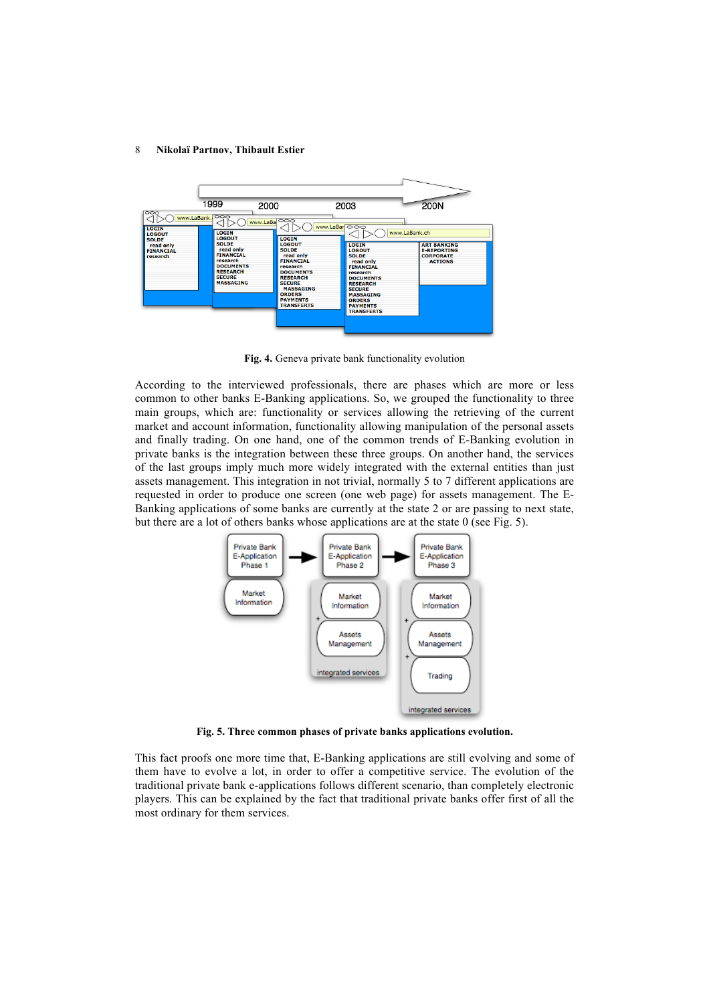

**Fig. 4.** Geneva private bank functionality evolution

According to the interviewed professionals, there are phases which are more or less common to other banks E-Banking applications. So, we grouped the functionality to three main groups, which are: functionality or services allowing the retrieving of the current market and account information, functionality allowing manipulation of the personal assets and finally trading. On one hand, one of the common trends of E-Banking evolution in private banks is the integration between these three groups. On another hand, the services of the last groups imply much more widely integrated with the external entities than just assets management. This integration in not trivial, normally 5 to 7 different applications are requested in order to produce one screen (one web page) for assets management. The E-Banking applications of some banks are currently at the state 2 or are passing to next state, but there are a lot of others banks whose applications are at the state 0 (see Fig. 5).



 **Fig. 5. Three common phases of private banks applications evolution.**

This fact proofs one more time that, E-Banking applications are still evolving and some of them have to evolve a lot, in order to offer a competitive service. The evolution of the traditional private bank e-applications follows different scenario, than completely electronic players. This can be explained by the fact that traditional private banks offer first of all the most ordinary for them services.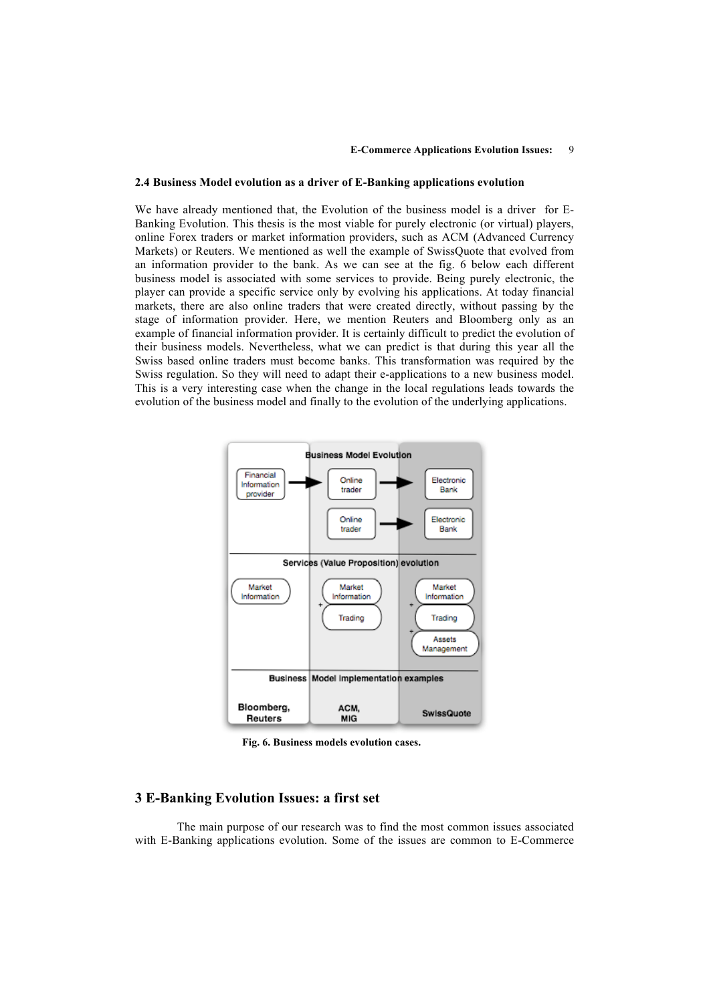#### **2.4 Business Model evolution as a driver of E-Banking applications evolution**

We have already mentioned that, the Evolution of the business model is a driver for E-Banking Evolution. This thesis is the most viable for purely electronic (or virtual) players, online Forex traders or market information providers, such as ACM (Advanced Currency Markets) or Reuters. We mentioned as well the example of SwissQuote that evolved from an information provider to the bank. As we can see at the fig. 6 below each different business model is associated with some services to provide. Being purely electronic, the player can provide a specific service only by evolving his applications. At today financial markets, there are also online traders that were created directly, without passing by the stage of information provider. Here, we mention Reuters and Bloomberg only as an example of financial information provider. It is certainly difficult to predict the evolution of their business models. Nevertheless, what we can predict is that during this year all the Swiss based online traders must become banks. This transformation was required by the Swiss regulation. So they will need to adapt their e-applications to a new business model. This is a very interesting case when the change in the local regulations leads towards the evolution of the business model and finally to the evolution of the underlying applications.



 **Fig. 6. Business models evolution cases.** 

## **3 E-Banking Evolution Issues: a first set**

The main purpose of our research was to find the most common issues associated with E-Banking applications evolution. Some of the issues are common to E-Commerce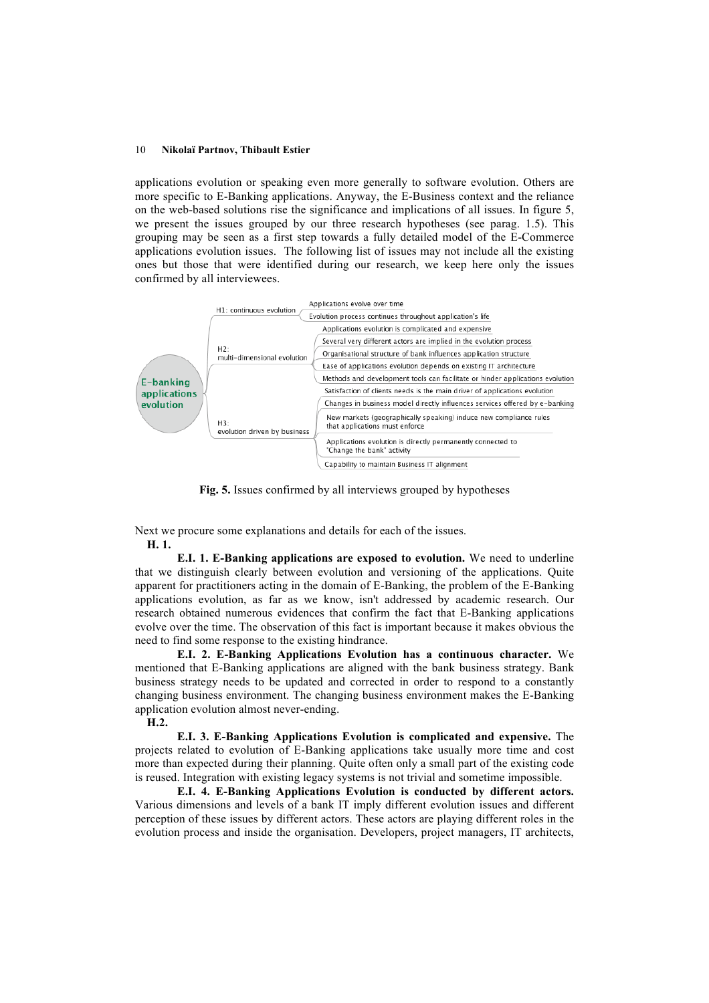applications evolution or speaking even more generally to software evolution. Others are more specific to E-Banking applications. Anyway, the E-Business context and the reliance on the web-based solutions rise the significance and implications of all issues. In figure 5, we present the issues grouped by our three research hypotheses (see parag. 1.5). This grouping may be seen as a first step towards a fully detailed model of the E-Commerce applications evolution issues. The following list of issues may not include all the existing ones but those that were identified during our research, we keep here only the issues confirmed by all interviewees.



**Fig. 5.** Issues confirmed by all interviews grouped by hypotheses

Next we procure some explanations and details for each of the issues. **H. 1.**

**E.I. 1. E-Banking applications are exposed to evolution.** We need to underline that we distinguish clearly between evolution and versioning of the applications. Quite apparent for practitioners acting in the domain of E-Banking, the problem of the E-Banking applications evolution, as far as we know, isn't addressed by academic research. Our research obtained numerous evidences that confirm the fact that E-Banking applications evolve over the time. The observation of this fact is important because it makes obvious the need to find some response to the existing hindrance.

**E.I. 2. E-Banking Applications Evolution has a continuous character.** We mentioned that E-Banking applications are aligned with the bank business strategy. Bank business strategy needs to be updated and corrected in order to respond to a constantly changing business environment. The changing business environment makes the E-Banking application evolution almost never-ending.

 **H.2.**

**E.I. 3. E-Banking Applications Evolution is complicated and expensive.** The projects related to evolution of E-Banking applications take usually more time and cost more than expected during their planning. Quite often only a small part of the existing code is reused. Integration with existing legacy systems is not trivial and sometime impossible.

**E.I. 4. E-Banking Applications Evolution is conducted by different actors.**  Various dimensions and levels of a bank IT imply different evolution issues and different perception of these issues by different actors. These actors are playing different roles in the evolution process and inside the organisation. Developers, project managers, IT architects,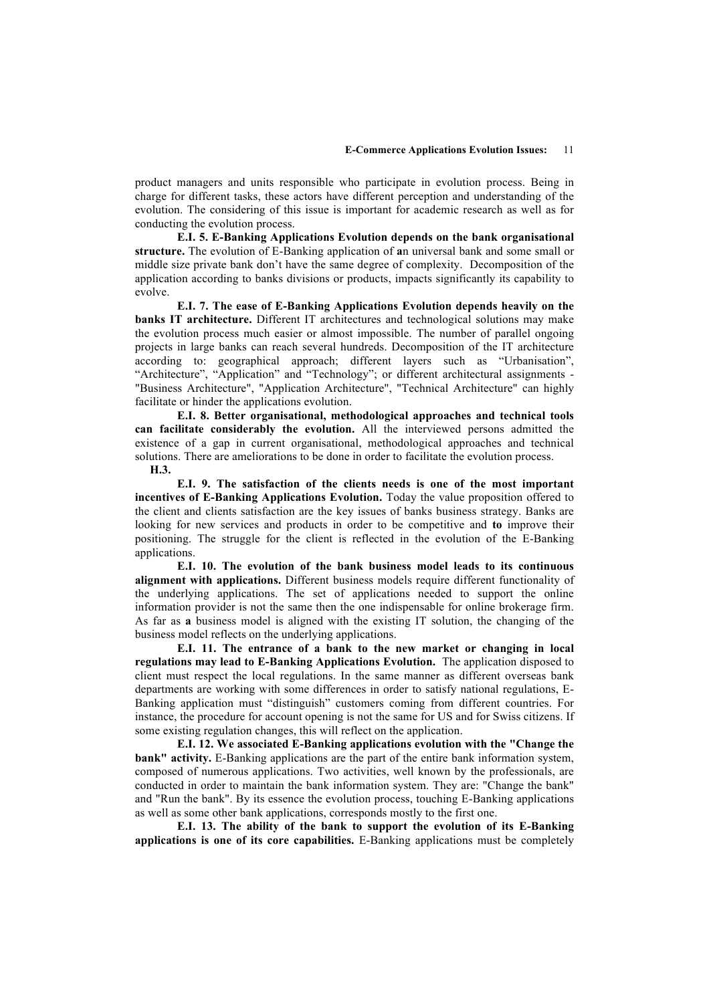product managers and units responsible who participate in evolution process. Being in charge for different tasks, these actors have different perception and understanding of the evolution. The considering of this issue is important for academic research as well as for conducting the evolution process.

**E.I. 5. E-Banking Applications Evolution depends on the bank organisational structure.** The evolution of E-Banking application of **a**n universal bank and some small or middle size private bank don't have the same degree of complexity. Decomposition of the application according to banks divisions or products, impacts significantly its capability to evolve.

**E.I. 7. The ease of E-Banking Applications Evolution depends heavily on the banks IT architecture.** Different IT architectures and technological solutions may make the evolution process much easier or almost impossible. The number of parallel ongoing projects in large banks can reach several hundreds. Decomposition of the IT architecture according to: geographical approach; different layers such as "Urbanisation", "Architecture", "Application" and "Technology"; or different architectural assignments - "Business Architecture", "Application Architecture", "Technical Architecture" can highly facilitate or hinder the applications evolution.

**E.I. 8. Better organisational, methodological approaches and technical tools can facilitate considerably the evolution.** All the interviewed persons admitted the existence of a gap in current organisational, methodological approaches and technical solutions. There are ameliorations to be done in order to facilitate the evolution process.

 **H.3.** 

**E.I. 9. The satisfaction of the clients needs is one of the most important incentives of E-Banking Applications Evolution.** Today the value proposition offered to the client and clients satisfaction are the key issues of banks business strategy. Banks are looking for new services and products in order to be competitive and **to** improve their positioning. The struggle for the client is reflected in the evolution of the E-Banking applications.

**E.I. 10. The evolution of the bank business model leads to its continuous alignment with applications.** Different business models require different functionality of the underlying applications. The set of applications needed to support the online information provider is not the same then the one indispensable for online brokerage firm. As far as **a** business model is aligned with the existing IT solution, the changing of the business model reflects on the underlying applications.

**E.I. 11. The entrance of a bank to the new market or changing in local regulations may lead to E-Banking Applications Evolution.** The application disposed to client must respect the local regulations. In the same manner as different overseas bank departments are working with some differences in order to satisfy national regulations, E-Banking application must "distinguish" customers coming from different countries. For instance, the procedure for account opening is not the same for US and for Swiss citizens. If some existing regulation changes, this will reflect on the application.

**E.I. 12. We associated E-Banking applications evolution with the "Change the bank" activity.** E-Banking applications are the part of the entire bank information system, composed of numerous applications. Two activities, well known by the professionals, are conducted in order to maintain the bank information system. They are: "Change the bank" and "Run the bank". By its essence the evolution process, touching E-Banking applications as well as some other bank applications, corresponds mostly to the first one.

**E.I. 13. The ability of the bank to support the evolution of its E-Banking applications is one of its core capabilities.** E-Banking applications must be completely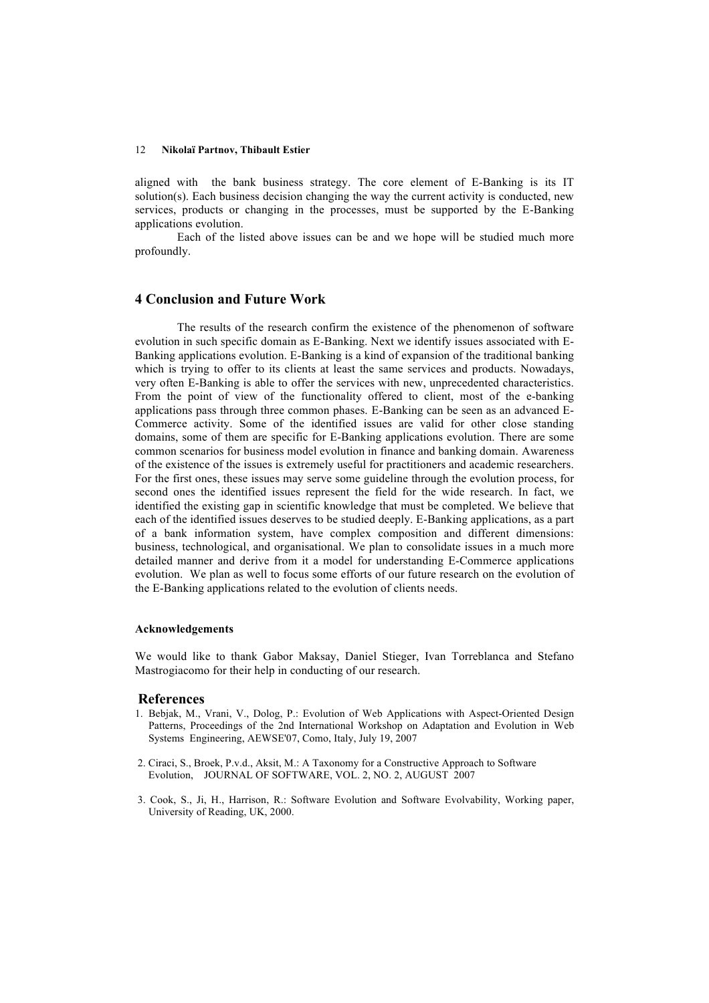aligned with the bank business strategy. The core element of E-Banking is its IT solution(s). Each business decision changing the way the current activity is conducted, new services, products or changing in the processes, must be supported by the E-Banking applications evolution.

Each of the listed above issues can be and we hope will be studied much more profoundly.

## **4 Conclusion and Future Work**

The results of the research confirm the existence of the phenomenon of software evolution in such specific domain as E-Banking. Next we identify issues associated with E-Banking applications evolution. E-Banking is a kind of expansion of the traditional banking which is trying to offer to its clients at least the same services and products. Nowadays, very often E-Banking is able to offer the services with new, unprecedented characteristics. From the point of view of the functionality offered to client, most of the e-banking applications pass through three common phases. E-Banking can be seen as an advanced E-Commerce activity. Some of the identified issues are valid for other close standing domains, some of them are specific for E-Banking applications evolution. There are some common scenarios for business model evolution in finance and banking domain. Awareness of the existence of the issues is extremely useful for practitioners and academic researchers. For the first ones, these issues may serve some guideline through the evolution process, for second ones the identified issues represent the field for the wide research. In fact, we identified the existing gap in scientific knowledge that must be completed. We believe that each of the identified issues deserves to be studied deeply. E-Banking applications, as a part of a bank information system, have complex composition and different dimensions: business, technological, and organisational. We plan to consolidate issues in a much more detailed manner and derive from it a model for understanding E-Commerce applications evolution. We plan as well to focus some efforts of our future research on the evolution of the E-Banking applications related to the evolution of clients needs.

### **Acknowledgements**

We would like to thank Gabor Maksay, Daniel Stieger, Ivan Torreblanca and Stefano Mastrogiacomo for their help in conducting of our research.

### **References**

- 1. Bebjak, M., Vrani, V., Dolog, P.: Evolution of Web Applications with Aspect-Oriented Design Patterns, Proceedings of the 2nd International Workshop on Adaptation and Evolution in Web Systems Engineering, AEWSE'07, Como, Italy, July 19, 2007
- 2. Ciraci, S., Broek, P.v.d., Aksit, M.: A Taxonomy for a Constructive Approach to Software Evolution, JOURNAL OF SOFTWARE, VOL. 2, NO. 2, AUGUST 2007
- 3. Cook, S., Ji, H., Harrison, R.: Software Evolution and Software Evolvability, Working paper, University of Reading, UK, 2000.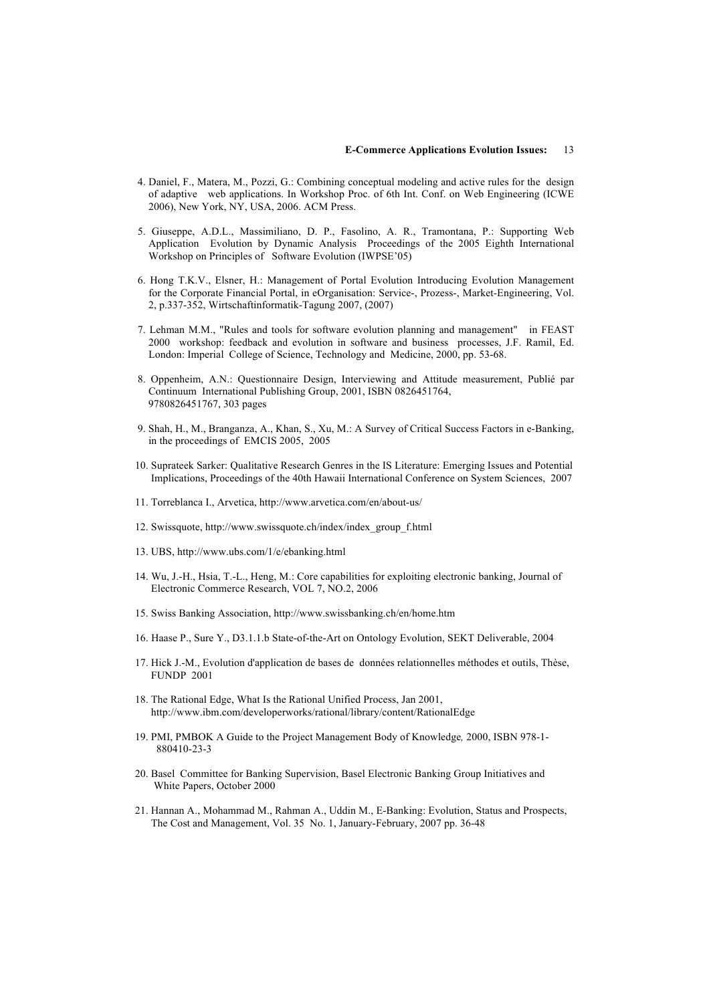- 4. Daniel, F., Matera, M., Pozzi, G.: Combining conceptual modeling and active rules for the design of adaptive web applications. In Workshop Proc. of 6th Int. Conf. on Web Engineering (ICWE 2006), New York, NY, USA, 2006. ACM Press.
- 5. Giuseppe, A.D.L., Massimiliano, D. P., Fasolino, A. R., Tramontana, P.: Supporting Web Application Evolution by Dynamic Analysis Proceedings of the 2005 Eighth International Workshop on Principles of Software Evolution (IWPSE'05)
- 6. Hong T.K.V., Elsner, H.: Management of Portal Evolution Introducing Evolution Management for the Corporate Financial Portal, in eOrganisation: Service-, Prozess-, Market-Engineering, Vol. 2, p.337-352, Wirtschaftinformatik-Tagung 2007, (2007)
- 7. Lehman M.M., "Rules and tools for software evolution planning and management" in FEAST 2000 workshop: feedback and evolution in software and business processes, J.F. Ramil, Ed. London: Imperial College of Science, Technology and Medicine, 2000, pp. 53-68.
- 8. Oppenheim, A.N.: Questionnaire Design, Interviewing and Attitude measurement, Publié par Continuum International Publishing Group, 2001, ISBN 0826451764, 9780826451767, 303 pages
- 9. Shah, H., M., Branganza, A., Khan, S., Xu, M.: A Survey of Critical Success Factors in e-Banking, in the proceedings of EMCIS 2005, 2005
- 10. Suprateek Sarker: Qualitative Research Genres in the IS Literature: Emerging Issues and Potential Implications, Proceedings of the 40th Hawaii International Conference on System Sciences, 2007
- 11. Torreblanca I., Arvetica, http://www.arvetica.com/en/about-us/
- 12. Swissquote, http://www.swissquote.ch/index/index\_group\_f.html
- 13. UBS, http://www.ubs.com/1/e/ebanking.html
- 14. Wu, J.-H., Hsia, T.-L., Heng, M.: Core capabilities for exploiting electronic banking, Journal of Electronic Commerce Research, VOL 7, NO.2, 2006
- 15. Swiss Banking Association, http://www.swissbanking.ch/en/home.htm
- 16. Haase P., Sure Y., D3.1.1.b State-of-the-Art on Ontology Evolution, SEKT Deliverable, 2004
- 17. Hick J.-M., Evolution d'application de bases de données relationnelles méthodes et outils, Thèse, FUNDP 2001
- 18. The Rational Edge, What Is the Rational Unified Process, Jan 2001, http://www.ibm.com/developerworks/rational/library/content/RationalEdge
- 19. PMI, PMBOK A Guide to the Project Management Body of Knowledge*,* 2000, ISBN 978-1- 880410-23-3
- 20. Basel Committee for Banking Supervision, Basel Electronic Banking Group Initiatives and White Papers, October 2000
- 21. Hannan A., Mohammad M., Rahman A., Uddin M., E-Banking: Evolution, Status and Prospects, The Cost and Management, Vol. 35 No. 1, January-February, 2007 pp. 36-48